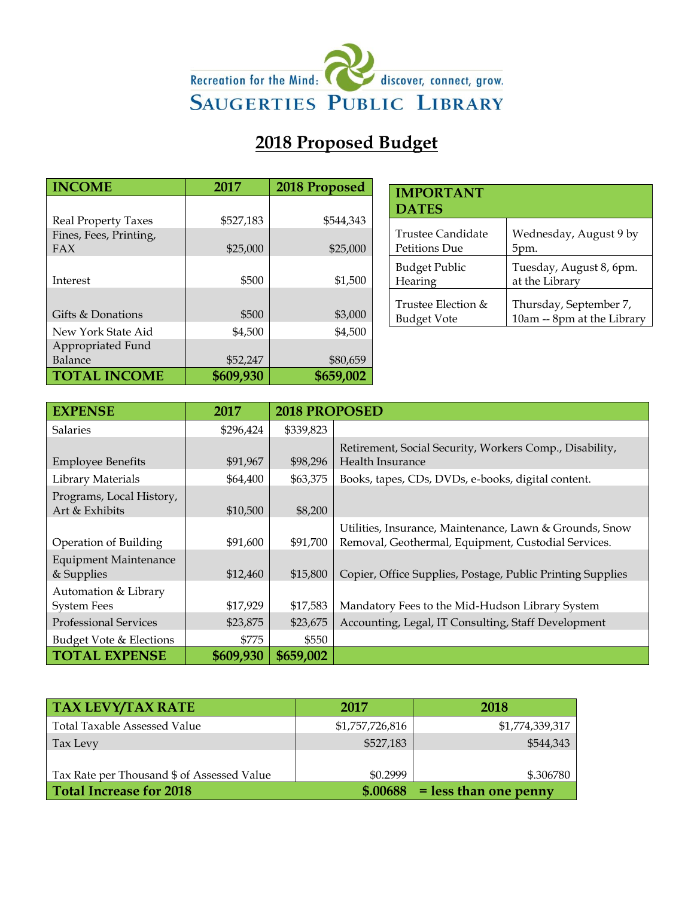

# **2018 Proposed Budget**

| <b>INCOME</b>              | 2017      | 2018 Proposed |
|----------------------------|-----------|---------------|
|                            |           |               |
| <b>Real Property Taxes</b> | \$527,183 | \$544,343     |
| Fines, Fees, Printing,     |           |               |
| FAX                        | \$25,000  | \$25,000      |
|                            |           |               |
| Interest                   | \$500     | \$1,500       |
|                            |           |               |
| Gifts & Donations          | \$500     | \$3,000       |
| New York State Aid         | \$4,500   | \$4,500       |
| Appropriated Fund          |           |               |
| Balance                    | \$52,247  | \$80,659      |
| <b>TOTAL INCOME</b>        | \$609,930 | \$659,002     |

| <b>IMPORTANT</b><br><b>DATES</b> |                            |
|----------------------------------|----------------------------|
| Trustee Candidate                | Wednesday, August 9 by     |
| Petitions Due                    | 5pm.                       |
| <b>Budget Public</b>             | Tuesday, August 8, 6pm.    |
| Hearing                          | at the Library             |
| Trustee Election &               | Thursday, September 7,     |
| Budget Vote                      | 10am -- 8pm at the Library |

| <b>EXPENSE</b>                             | 2017      | 2018 PROPOSED |                                                                                                                |  |
|--------------------------------------------|-----------|---------------|----------------------------------------------------------------------------------------------------------------|--|
| <b>Salaries</b>                            | \$296,424 | \$339,823     |                                                                                                                |  |
| <b>Employee Benefits</b>                   | \$91,967  | \$98,296      | Retirement, Social Security, Workers Comp., Disability,<br>Health Insurance                                    |  |
| Library Materials                          | \$64,400  | \$63,375      | Books, tapes, CDs, DVDs, e-books, digital content.                                                             |  |
| Programs, Local History,<br>Art & Exhibits | \$10,500  | \$8,200       |                                                                                                                |  |
| Operation of Building                      | \$91,600  | \$91,700      | Utilities, Insurance, Maintenance, Lawn & Grounds, Snow<br>Removal, Geothermal, Equipment, Custodial Services. |  |
| <b>Equipment Maintenance</b><br>& Supplies | \$12,460  | \$15,800      | Copier, Office Supplies, Postage, Public Printing Supplies                                                     |  |
| Automation & Library<br><b>System Fees</b> | \$17,929  | \$17,583      | Mandatory Fees to the Mid-Hudson Library System                                                                |  |
| <b>Professional Services</b>               | \$23,875  | \$23,675      | Accounting, Legal, IT Consulting, Staff Development                                                            |  |
| Budget Vote & Elections                    | \$775     | \$550         |                                                                                                                |  |
| <b>TOTAL EXPENSE</b>                       | \$609,930 | \$659,002     |                                                                                                                |  |

| <b>TAX LEVY/TAX RATE</b>                   | 2017            | <b>2018</b>             |
|--------------------------------------------|-----------------|-------------------------|
| <b>Total Taxable Assessed Value</b>        | \$1,757,726,816 | \$1,774,339,317         |
| Tax Levy                                   | \$527,183       | \$544,343               |
|                                            |                 |                         |
| Tax Rate per Thousand \$ of Assessed Value | \$0.2999        | \$.306780               |
| <b>Total Increase for 2018</b>             | \$.00688        | $=$ less than one penny |